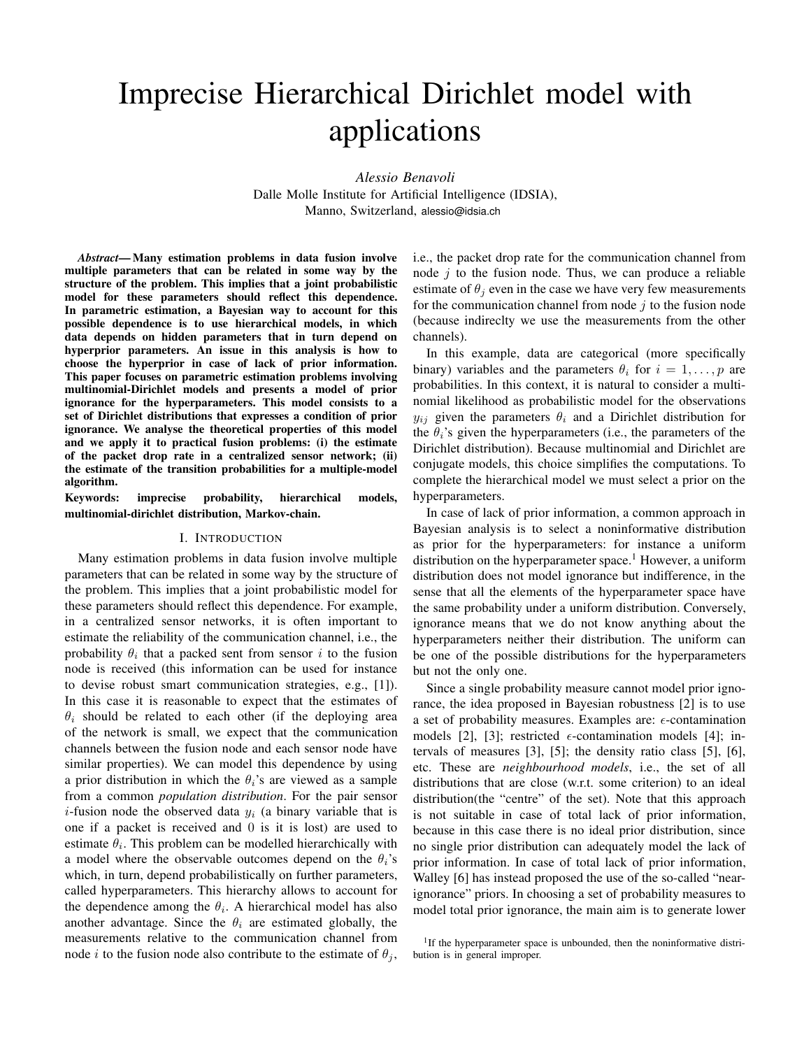# Imprecise Hierarchical Dirichlet model with applications

*Alessio Benavoli* Dalle Molle Institute for Artificial Intelligence (IDSIA), Manno, Switzerland, alessio@idsia.ch

*Abstract*— Many estimation problems in data fusion involve multiple parameters that can be related in some way by the structure of the problem. This implies that a joint probabilistic model for these parameters should reflect this dependence. In parametric estimation, a Bayesian way to account for this possible dependence is to use hierarchical models, in which data depends on hidden parameters that in turn depend on hyperprior parameters. An issue in this analysis is how to choose the hyperprior in case of lack of prior information. This paper focuses on parametric estimation problems involving multinomial-Dirichlet models and presents a model of prior ignorance for the hyperparameters. This model consists to a set of Dirichlet distributions that expresses a condition of prior ignorance. We analyse the theoretical properties of this model and we apply it to practical fusion problems: (i) the estimate of the packet drop rate in a centralized sensor network; (ii) the estimate of the transition probabilities for a multiple-model algorithm.

Keywords: imprecise probability, hierarchical models, multinomial-dirichlet distribution, Markov-chain.

## I. INTRODUCTION

Many estimation problems in data fusion involve multiple parameters that can be related in some way by the structure of the problem. This implies that a joint probabilistic model for these parameters should reflect this dependence. For example, in a centralized sensor networks, it is often important to estimate the reliability of the communication channel, i.e., the probability  $\theta_i$  that a packed sent from sensor i to the fusion node is received (this information can be used for instance to devise robust smart communication strategies, e.g., [1]). In this case it is reasonable to expect that the estimates of  $\theta_i$  should be related to each other (if the deploying area of the network is small, we expect that the communication channels between the fusion node and each sensor node have similar properties). We can model this dependence by using a prior distribution in which the  $\theta_i$ 's are viewed as a sample from a common *population distribution*. For the pair sensor *i*-fusion node the observed data  $y_i$  (a binary variable that is one if a packet is received and 0 is it is lost) are used to estimate  $\theta_i$ . This problem can be modelled hierarchically with a model where the observable outcomes depend on the  $\theta_i$ 's which, in turn, depend probabilistically on further parameters, called hyperparameters. This hierarchy allows to account for the dependence among the  $\theta_i$ . A hierarchical model has also another advantage. Since the  $\theta_i$  are estimated globally, the measurements relative to the communication channel from node *i* to the fusion node also contribute to the estimate of  $\theta_i$ ,

i.e., the packet drop rate for the communication channel from node  $j$  to the fusion node. Thus, we can produce a reliable estimate of  $\theta_i$  even in the case we have very few measurements for the communication channel from node  $j$  to the fusion node (because indireclty we use the measurements from the other channels).

In this example, data are categorical (more specifically binary) variables and the parameters  $\theta_i$  for  $i = 1, \ldots, p$  are probabilities. In this context, it is natural to consider a multinomial likelihood as probabilistic model for the observations  $y_{ij}$  given the parameters  $\theta_i$  and a Dirichlet distribution for the  $\theta_i$ 's given the hyperparameters (i.e., the parameters of the Dirichlet distribution). Because multinomial and Dirichlet are conjugate models, this choice simplifies the computations. To complete the hierarchical model we must select a prior on the hyperparameters.

In case of lack of prior information, a common approach in Bayesian analysis is to select a noninformative distribution as prior for the hyperparameters: for instance a uniform distribution on the hyperparameter space.<sup>1</sup> However, a uniform distribution does not model ignorance but indifference, in the sense that all the elements of the hyperparameter space have the same probability under a uniform distribution. Conversely, ignorance means that we do not know anything about the hyperparameters neither their distribution. The uniform can be one of the possible distributions for the hyperparameters but not the only one.

Since a single probability measure cannot model prior ignorance, the idea proposed in Bayesian robustness [2] is to use a set of probability measures. Examples are:  $\epsilon$ -contamination models [2], [3]; restricted  $\epsilon$ -contamination models [4]; intervals of measures [3], [5]; the density ratio class [5], [6], etc. These are *neighbourhood models*, i.e., the set of all distributions that are close (w.r.t. some criterion) to an ideal distribution(the "centre" of the set). Note that this approach is not suitable in case of total lack of prior information, because in this case there is no ideal prior distribution, since no single prior distribution can adequately model the lack of prior information. In case of total lack of prior information, Walley [6] has instead proposed the use of the so-called "nearignorance" priors. In choosing a set of probability measures to model total prior ignorance, the main aim is to generate lower

<sup>&</sup>lt;sup>1</sup>If the hyperparameter space is unbounded, then the noninformative distribution is in general improper.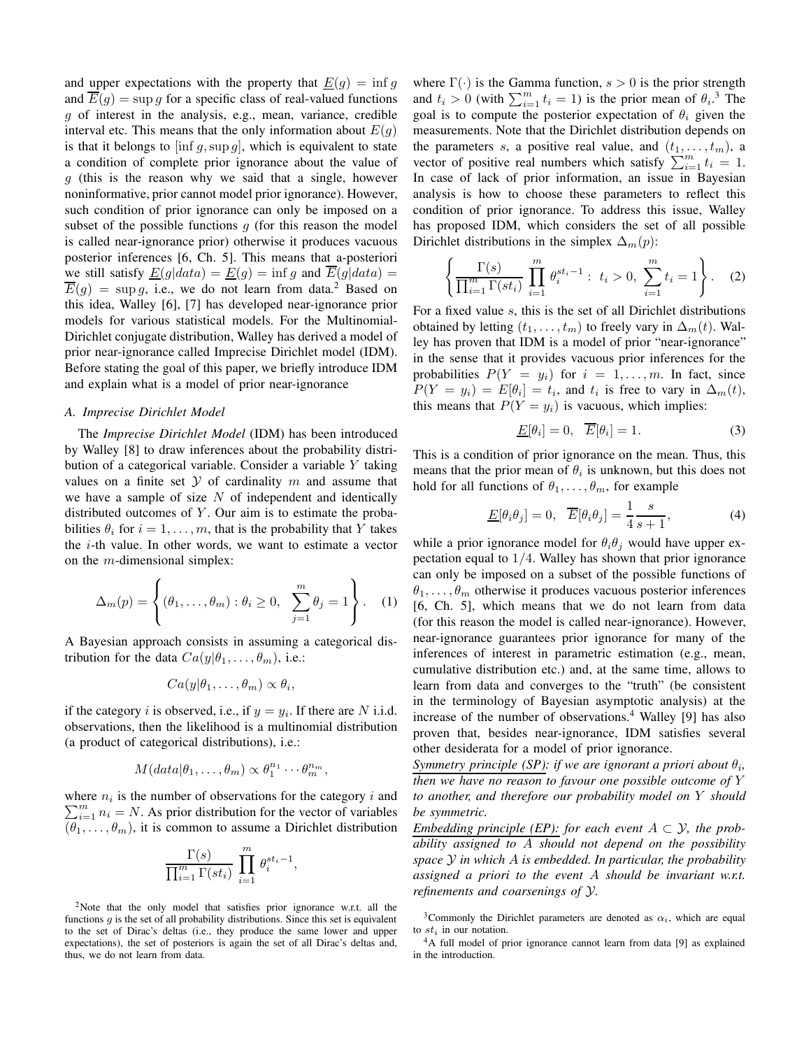and upper expectations with the property that  $E(g) = \inf g$ and  $\overline{E}(g) = \sup g$  for a specific class of real-valued functions g of interest in the analysis, e.g., mean, variance, credible interval etc. This means that the only information about  $E(g)$ is that it belongs to  $[\inf g, \sup g]$ , which is equivalent to state a condition of complete prior ignorance about the value of  $g$  (this is the reason why we said that a single, however noninformative, prior cannot model prior ignorance). However, such condition of prior ignorance can only be imposed on a subset of the possible functions  $q$  (for this reason the model is called near-ignorance prior) otherwise it produces vacuous posterior inferences [6, Ch. 5]. This means that a-posteriori we still satisfy  $\underline{E}(g|data) = \underline{E}(g) = \inf g$  and  $\overline{E}(g|data) =$  $\overline{E}(g) = \sup g$ , i.e., we do not learn from data.<sup>2</sup> Based on this idea, Walley [6], [7] has developed near-ignorance prior models for various statistical models. For the Multinomial-Dirichlet conjugate distribution, Walley has derived a model of prior near-ignorance called Imprecise Dirichlet model (IDM). Before stating the goal of this paper, we briefly introduce IDM and explain what is a model of prior near-ignorance

# *A. Imprecise Dirichlet Model*

The *Imprecise Dirichlet Model* (IDM) has been introduced by Walley [8] to draw inferences about the probability distribution of a categorical variable. Consider a variable Y taking values on a finite set  $Y$  of cardinality  $m$  and assume that we have a sample of size  $N$  of independent and identically distributed outcomes of  $Y$ . Our aim is to estimate the probabilities  $\theta_i$  for  $i = 1, \ldots, m$ , that is the probability that Y takes the i-th value. In other words, we want to estimate a vector on the  $m$ -dimensional simplex:

$$
\Delta_m(p) = \left\{ (\theta_1, \dots, \theta_m) : \theta_i \ge 0, \sum_{j=1}^m \theta_j = 1 \right\}.
$$
 (1)

A Bayesian approach consists in assuming a categorical distribution for the data  $Ca(y|\theta_1,\ldots,\theta_m)$ , i.e.:

$$
Ca(y|\theta_1,\ldots,\theta_m)\propto\theta_i,
$$

if the category *i* is observed, i.e., if  $y = y_i$ . If there are *N* i.i.d. observations, then the likelihood is a multinomial distribution (a product of categorical distributions), i.e.:

$$
M(data|\theta_1,\ldots,\theta_m) \propto \theta_1^{n_1}\cdots\theta_m^{n_m},
$$

where  $n_i$  is the number of observations for the category i and  $\sum_{i=1}^{m} n_i = N$ . As prior distribution for the vector of variables  $(\theta_1, \ldots, \theta_m)$ , it is common to assume a Dirichlet distribution

$$
\frac{\Gamma(s)}{\prod_{i=1}^m \Gamma(st_i)} \prod_{i=1}^m \theta_i^{st_i-1}
$$

,

<sup>2</sup>Note that the only model that satisfies prior ignorance w.r.t. all the functions  $g$  is the set of all probability distributions. Since this set is equivalent to the set of Dirac's deltas (i.e., they produce the same lower and upper expectations), the set of posteriors is again the set of all Dirac's deltas and, thus, we do not learn from data.

where  $\Gamma(\cdot)$  is the Gamma function,  $s > 0$  is the prior strength and  $t_i > 0$  (with  $\sum_{i=1}^{m} t_i = 1$ ) is the prior mean of  $\theta_i$ .<sup>3</sup> The goal is to compute the posterior expectation of  $\theta_i$  given the measurements. Note that the Dirichlet distribution depends on the parameters s, a positive real value, and  $(t_1, \ldots, t_m)$ , a vector of positive real numbers which satisfy  $\sum_{i=1}^{m} t_i = 1$ . In case of lack of prior information, an issue in Bayesian analysis is how to choose these parameters to reflect this condition of prior ignorance. To address this issue, Walley has proposed IDM, which considers the set of all possible Dirichlet distributions in the simplex  $\Delta_m(p)$ :

$$
\left\{\frac{\Gamma(s)}{\prod_{i=1}^{m}\Gamma(st_i)}\prod_{i=1}^{m}\theta_i^{st_i-1}:\ t_i>0,\ \sum_{i=1}^{m}t_i=1\right\}.
$$
 (2)

For a fixed value s, this is the set of all Dirichlet distributions obtained by letting  $(t_1, \ldots, t_m)$  to freely vary in  $\Delta_m(t)$ . Walley has proven that IDM is a model of prior "near-ignorance" in the sense that it provides vacuous prior inferences for the probabilities  $P(Y = y_i)$  for  $i = 1, ..., m$ . In fact, since  $P(Y = y_i) = E[\theta_i] = t_i$ , and  $t_i$  is free to vary in  $\Delta_m(t)$ , this means that  $P(Y = y_i)$  is vacuous, which implies:

$$
\underline{E}[\theta_i] = 0, \quad \overline{E}[\theta_i] = 1. \tag{3}
$$

This is a condition of prior ignorance on the mean. Thus, this means that the prior mean of  $\theta_i$  is unknown, but this does not hold for all functions of  $\theta_1, \ldots, \theta_m$ , for example

$$
\underline{E}[\theta_i \theta_j] = 0, \quad \overline{E}[\theta_i \theta_j] = \frac{1}{4} \frac{s}{s+1}, \tag{4}
$$

while a prior ignorance model for  $\theta_i \theta_j$  would have upper expectation equal to  $1/4$ . Walley has shown that prior ignorance can only be imposed on a subset of the possible functions of  $\theta_1, \ldots, \theta_m$  otherwise it produces vacuous posterior inferences [6, Ch. 5], which means that we do not learn from data (for this reason the model is called near-ignorance). However, near-ignorance guarantees prior ignorance for many of the inferences of interest in parametric estimation (e.g., mean, cumulative distribution etc.) and, at the same time, allows to learn from data and converges to the "truth" (be consistent in the terminology of Bayesian asymptotic analysis) at the increase of the number of observations.<sup>4</sup> Walley [9] has also proven that, besides near-ignorance, IDM satisfies several other desiderata for a model of prior ignorance.

*Symmetry principle (SP): if we are ignorant a priori about*  $\theta_i$ , *then we have no reason to favour one possible outcome of* Y *to another, and therefore our probability model on* Y *should be symmetric.*

*Embedding principle (EP): for each event*  $A \subset \mathcal{Y}$ *, the probability assigned to* A *should not depend on the possibility space* Y *in which* A *is embedded. In particular, the probability assigned a priori to the event* A *should be invariant w.r.t. refinements and coarsenings of* Y*.*

<sup>3</sup>Commonly the Dirichlet parameters are denoted as  $\alpha_i$ , which are equal to  $st_i$  in our notation.

<sup>4</sup>A full model of prior ignorance cannot learn from data [9] as explained in the introduction.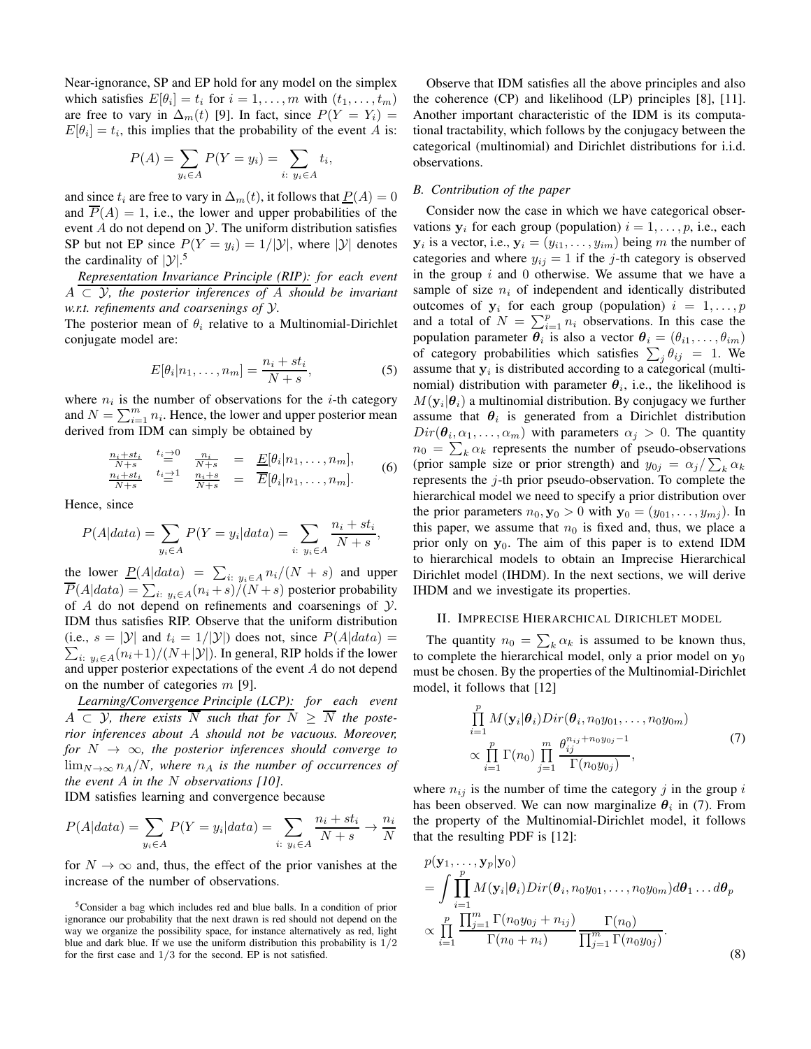Near-ignorance, SP and EP hold for any model on the simplex which satisfies  $E[\theta_i] = t_i$  for  $i = 1, ..., m$  with  $(t_1, ..., t_m)$ are free to vary in  $\Delta_m(t)$  [9]. In fact, since  $P(Y = Y_i) =$  $E[\theta_i] = t_i$ , this implies that the probability of the event A is:

$$
P(A) = \sum_{y_i \in A} P(Y = y_i) = \sum_{i: y_i \in A} t_i,
$$

and since  $t_i$  are free to vary in  $\Delta_m(t)$ , it follows that  $P(A) = 0$ and  $P(A) = 1$ , i.e., the lower and upper probabilities of the event  $A$  do not depend on  $Y$ . The uniform distribution satisfies SP but not EP since  $P(Y = y_i) = 1/|\mathcal{Y}|$ , where  $|\mathcal{Y}|$  denotes the cardinality of  $|\mathcal{Y}|$ .<sup>5</sup>

*Representation Invariance Principle (RIP): for each event* A ⊂ Y*, the posterior inferences of* A *should be invariant w.r.t. refinements and coarsenings of* Y*.*

The posterior mean of  $\theta_i$  relative to a Multinomial-Dirichlet conjugate model are:

$$
E[\theta_i | n_1, \dots, n_m] = \frac{n_i + st_i}{N + s},
$$
\n(5)

where  $n_i$  is the number of observations for the *i*-th category and  $N = \sum_{i=1}^{m} n_i$ . Hence, the lower and upper posterior mean derived from IDM can simply be obtained by

$$
\frac{n_i+st_i}{N+s} \stackrel{t_i \to 0}{=} \frac{n_i}{N+s} = \frac{E[\theta_i|n_1,\ldots,n_m]}{E[\theta_i|n_1,\ldots,n_m]}.
$$
\n
$$
\frac{n_i+st_i}{N+s} \stackrel{t_i \to 1}{=} \frac{n_i+s}{N+s} = \overline{E}[\theta_i|n_1,\ldots,n_m].
$$
\n(6)

Hence, since

$$
P(A|data) = \sum_{y_i \in A} P(Y = y_i|data) = \sum_{i: y_i \in A} \frac{n_i + st_i}{N + s},
$$

the lower  $\underline{P}(A|data) = \sum_{i: y_i \in A} n_i/(N + s)$  and upper  $P(A|data) = \sum_{i: y_i \in A} (n_i + s)/(N + s)$  posterior probability of  $A$  do not depend on refinements and coarsenings of  $Y$ . IDM thus satisfies RIP. Observe that the uniform distribution  $\sum_{i: y_i \in A} (n_i+1)/(N+|\mathcal{Y}|)$ . In general, RIP holds if the lower (i.e.,  $s = |\mathcal{Y}|$  and  $t_i = 1/|\mathcal{Y}|$ ) does not, since  $P(A|data) =$ and upper posterior expectations of the event A do not depend on the number of categories  $m$  [9].

*Learning/Convergence Principle (LCP): for each event*  $A \subset \mathcal{Y}$ , there exists  $\overline{N}$  such that for  $N \geq \overline{N}$  the poste*rior inferences about* A *should not be vacuous. Moreover, for*  $N \rightarrow \infty$ *, the posterior inferences should converge to*  $\lim_{N\to\infty}n_A/N$ , where  $n_A$  is the number of occurrences of *the event* A *in the* N *observations [10]*.

IDM satisfies learning and convergence because

$$
P(A|data) = \sum_{y_i \in A} P(Y = y_i|data) = \sum_{i: y_i \in A} \frac{n_i + st_i}{N + s} \to \frac{n_i}{N}
$$

for  $N \to \infty$  and, thus, the effect of the prior vanishes at the increase of the number of observations.

Observe that IDM satisfies all the above principles and also the coherence (CP) and likelihood (LP) principles [8], [11]. Another important characteristic of the IDM is its computational tractability, which follows by the conjugacy between the categorical (multinomial) and Dirichlet distributions for i.i.d. observations.

# *B. Contribution of the paper*

Consider now the case in which we have categorical observations  $y_i$  for each group (population)  $i = 1, \ldots, p$ , i.e., each  $y_i$  is a vector, i.e.,  $y_i = (y_{i1}, \dots, y_{im})$  being m the number of categories and where  $y_{ij} = 1$  if the j-th category is observed in the group  $i$  and  $0$  otherwise. We assume that we have a sample of size  $n_i$  of independent and identically distributed outcomes of  $y_i$  for each group (population)  $i = 1, \ldots, p$ and a total of  $N = \sum_{i=1}^{p} n_i$  observations. In this case the population parameter  $\overline{\theta_i}$  is also a vector  $\theta_i = (\theta_{i1}, \dots, \theta_{im})$ of category probabilities which satisfies  $\sum_j \theta_{ij} = 1$ . We assume that  $y_i$  is distributed according to a categorical (multinomial) distribution with parameter  $\hat{\theta}_i$ , i.e., the likelihood is  $M(\mathbf{y}_i|\boldsymbol{\theta}_i)$  a multinomial distribution. By conjugacy we further assume that  $\theta_i$  is generated from a Dirichlet distribution  $Dir(\theta_i, \alpha_1, \ldots, \alpha_m)$  with parameters  $\alpha_j > 0$ . The quantity  $n_0 = \sum_k \alpha_k$  represents the number of pseudo-observations (prior sample size or prior strength) and  $y_{0j} = \alpha_j / \sum_k \alpha_k$ represents the j-th prior pseudo-observation. To complete the hierarchical model we need to specify a prior distribution over the prior parameters  $n_0$ ,  $\mathbf{y}_0 > 0$  with  $\mathbf{y}_0 = (y_{01}, \dots, y_{mi})$ . In this paper, we assume that  $n_0$  is fixed and, thus, we place a prior only on  $y_0$ . The aim of this paper is to extend IDM to hierarchical models to obtain an Imprecise Hierarchical Dirichlet model (IHDM). In the next sections, we will derive IHDM and we investigate its properties.

## II. IMPRECISE HIERARCHICAL DIRICHLET MODEL

The quantity  $n_0 = \sum_k \alpha_k$  is assumed to be known thus, to complete the hierarchical model, only a prior model on  $y_0$ must be chosen. By the properties of the Multinomial-Dirichlet model, it follows that [12]

$$
\prod_{i=1}^{p} M(\mathbf{y}_i | \boldsymbol{\theta}_i) Dir(\boldsymbol{\theta}_i, n_0 y_{01}, \dots, n_0 y_{0m})
$$
\n
$$
\propto \prod_{i=1}^{p} \Gamma(n_0) \prod_{j=1}^{m} \frac{\theta_{ij}^{n_{ij} + n_0 y_{0j} - 1}}{\Gamma(n_0 y_{0j})},
$$
\n(7)

where  $n_{ij}$  is the number of time the category j in the group i has been observed. We can now marginalize  $\theta_i$  in (7). From the property of the Multinomial-Dirichlet model, it follows that the resulting PDF is [12]:

$$
p(\mathbf{y}_1, \dots, \mathbf{y}_p | \mathbf{y}_0)
$$
  
= 
$$
\int \prod_{i=1}^p M(\mathbf{y}_i | \boldsymbol{\theta}_i) Dir(\boldsymbol{\theta}_i, n_0 y_{01}, \dots, n_0 y_{0m}) d\boldsymbol{\theta}_1 \dots d\boldsymbol{\theta}_p
$$
  

$$
\propto \prod_{i=1}^p \frac{\prod_{j=1}^m \Gamma(n_0 y_{0j} + n_{ij})}{\Gamma(n_0 + n_i)} \frac{\Gamma(n_0)}{\prod_{j=1}^m \Gamma(n_0 y_{0j})}.
$$
 (8)

<sup>5</sup>Consider a bag which includes red and blue balls. In a condition of prior ignorance our probability that the next drawn is red should not depend on the way we organize the possibility space, for instance alternatively as red, light blue and dark blue. If we use the uniform distribution this probability is  $1/2$ for the first case and 1/3 for the second. EP is not satisfied.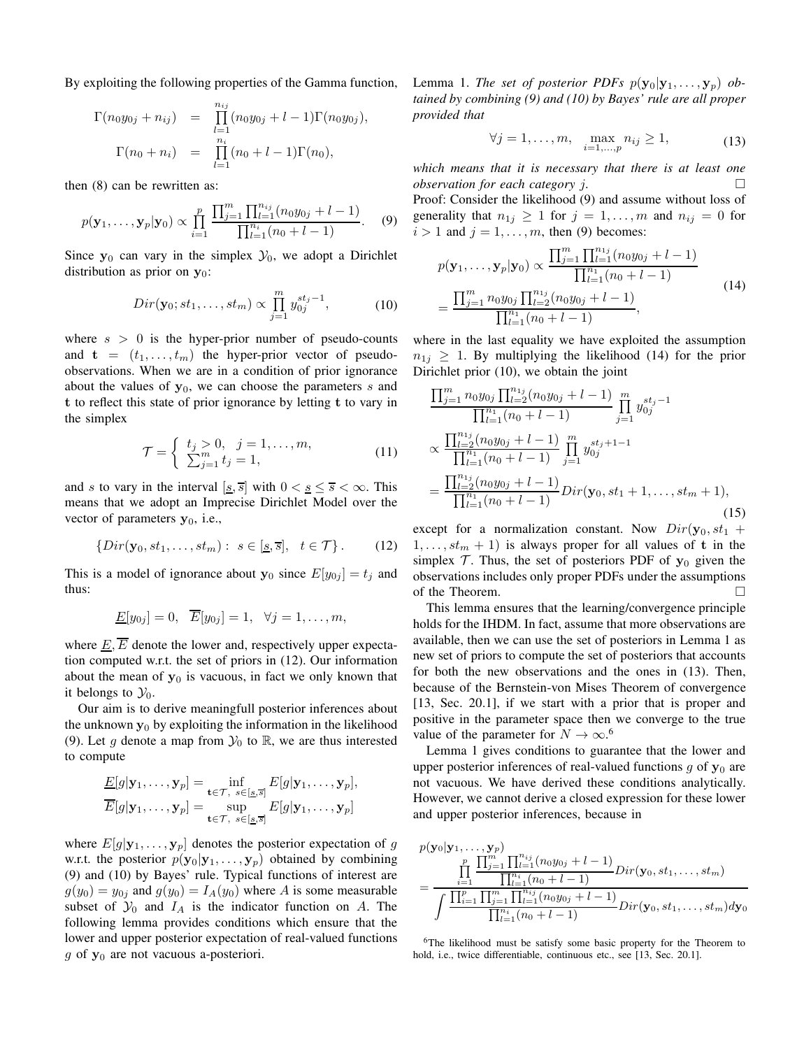By exploiting the following properties of the Gamma function,

$$
\Gamma(n_0y_{0j} + n_{ij}) = \prod_{l=1}^{n_{ij}} (n_0y_{0j} + l - 1)\Gamma(n_0y_{0j}),
$$
  

$$
\Gamma(n_0 + n_i) = \prod_{l=1}^{n_i} (n_0 + l - 1)\Gamma(n_0),
$$

then (8) can be rewritten as:

$$
p(\mathbf{y}_1,\ldots,\mathbf{y}_p|\mathbf{y}_0) \propto \prod_{i=1}^p \frac{\prod_{j=1}^m \prod_{l=1}^{n_{ij}} (n_0 y_{0j} + l - 1)}{\prod_{l=1}^{n_i} (n_0 + l - 1)}.
$$
 (9)

Since  $y_0$  can vary in the simplex  $y_0$ , we adopt a Dirichlet distribution as prior on  $y_0$ :

$$
Dir(\mathbf{y}_0; st_1, \dots, st_m) \propto \prod_{j=1}^m y_{0j}^{st_j - 1},
$$
 (10)

where  $s > 0$  is the hyper-prior number of pseudo-counts and  $\mathbf{t} = (t_1, \dots, t_m)$  the hyper-prior vector of pseudoobservations. When we are in a condition of prior ignorance about the values of  $y_0$ , we can choose the parameters s and t to reflect this state of prior ignorance by letting t to vary in the simplex

$$
\mathcal{T} = \begin{cases} t_j > 0, & j = 1, ..., m, \\ \sum_{j=1}^{m} t_j = 1, & (11) \end{cases}
$$

and s to vary in the interval  $[s, \overline{s}]$  with  $0 < s \leq \overline{s} < \infty$ . This means that we adopt an Imprecise Dirichlet Model over the vector of parameters  $y_0$ , i.e.,

$$
\{Dir(\mathbf{y}_0, st_1, \dots, st_m): s \in [\underline{s}, \overline{s}], \quad t \in \mathcal{T}\}.
$$
 (12)

This is a model of ignorance about  $y_0$  since  $E[y_{0j}] = t_j$  and thus:

$$
\underline{E}[y_{0j}] = 0, \quad \overline{E}[y_{0j}] = 1, \quad \forall j = 1, \ldots, m,
$$

where  $\underline{E}, \overline{E}$  denote the lower and, respectively upper expectation computed w.r.t. the set of priors in (12). Our information about the mean of  $y_0$  is vacuous, in fact we only known that it belongs to  $\mathcal{Y}_0$ .

Our aim is to derive meaningfull posterior inferences about the unknown  $y_0$  by exploiting the information in the likelihood (9). Let g denote a map from  $\mathcal{Y}_0$  to  $\mathbb{R}$ , we are thus interested to compute

$$
\frac{E[g|\mathbf{y}_1,\ldots,\mathbf{y}_p] = \inf_{\mathbf{t}\in\mathcal{T},\ s\in[\underline{s},\overline{s}]} E[g|\mathbf{y}_1,\ldots,\mathbf{y}_p],\overline{E}[g|\mathbf{y}_1,\ldots,\mathbf{y}_p] = \sup_{\mathbf{t}\in\mathcal{T},\ s\in[\underline{s},\overline{s}]} E[g|\mathbf{y}_1,\ldots,\mathbf{y}_p]
$$

where  $E[g|\mathbf{y}_1,\ldots,\mathbf{y}_p]$  denotes the posterior expectation of g w.r.t. the posterior  $p(\mathbf{y}_0|\mathbf{y}_1,\ldots,\mathbf{y}_p)$  obtained by combining (9) and (10) by Bayes' rule. Typical functions of interest are  $g(y_0) = y_{0j}$  and  $g(y_0) = I_A(y_0)$  where A is some measurable subset of  $\mathcal{Y}_0$  and  $I_A$  is the indicator function on A. The following lemma provides conditions which ensure that the lower and upper posterior expectation of real-valued functions  $g$  of  $y_0$  are not vacuous a-posteriori.

Lemma 1. *The set of posterior PDFs*  $p(\mathbf{y}_0|\mathbf{y}_1,\ldots,\mathbf{y}_p)$  *obtained by combining (9) and (10) by Bayes' rule are all proper provided that*

$$
\forall j = 1, ..., m, \quad \max_{i=1,...,p} n_{ij} \ge 1,
$$
 (13)

*which means that it is necessary that there is at least one observation for each category* j*.* Proof: Consider the likelihood (9) and assume without loss of generality that  $n_{1j} \geq 1$  for  $j = 1, \ldots, m$  and  $n_{ij} = 0$  for  $i > 1$  and  $j = 1, \ldots, m$ , then (9) becomes:

$$
p(\mathbf{y}_1, ..., \mathbf{y}_p | \mathbf{y}_0) \propto \frac{\prod_{j=1}^m \prod_{l=1}^{n_{1j}} (n_0 y_{0j} + l - 1)}{\prod_{l=1}^{n_1} (n_0 + l - 1)}
$$
  
= 
$$
\frac{\prod_{j=1}^m n_0 y_{0j} \prod_{l=2}^{n_{1j}} (n_0 y_{0j} + l - 1)}{\prod_{l=1}^{n_1} (n_0 + l - 1)},
$$
 (14)

where in the last equality we have exploited the assumption  $n_{1i} \geq 1$ . By multiplying the likelihood (14) for the prior Dirichlet prior (10), we obtain the joint

$$
\frac{\prod_{j=1}^{m} n_0 y_{0j} \prod_{l=2}^{n_{1j}} (n_0 y_{0j} + l - 1)}{\prod_{l=1}^{n_1} (n_0 + l - 1)} \prod_{j=1}^{m} y_{0j}^{st_j - 1}
$$
\n
$$
\propto \frac{\prod_{l=2}^{n_{1j}} (n_0 y_{0j} + l - 1)}{\prod_{l=1}^{n_1} (n_0 + l - 1)} \prod_{j=1}^{m} y_{0j}^{st_j + 1 - 1}
$$
\n
$$
= \frac{\prod_{l=2}^{n_{1j}} (n_0 y_{0j} + l - 1)}{\prod_{l=1}^{n_1} (n_0 + l - 1)} Dir(y_0, st_1 + 1, ..., st_m + 1),
$$
\n(15)

except for a normalization constant. Now  $Dir(\mathbf{y}_0, st_1 +$  $1, \ldots, st_m + 1$  is always proper for all values of t in the simplex  $T$ . Thus, the set of posteriors PDF of  $y_0$  given the observations includes only proper PDFs under the assumptions of the Theorem.

This lemma ensures that the learning/convergence principle holds for the IHDM. In fact, assume that more observations are available, then we can use the set of posteriors in Lemma 1 as new set of priors to compute the set of posteriors that accounts for both the new observations and the ones in (13). Then, because of the Bernstein-von Mises Theorem of convergence [13, Sec. 20.1], if we start with a prior that is proper and positive in the parameter space then we converge to the true value of the parameter for  $N \to \infty$ .<sup>6</sup>

Lemma 1 gives conditions to guarantee that the lower and upper posterior inferences of real-valued functions  $g$  of  $y_0$  are not vacuous. We have derived these conditions analytically. However, we cannot derive a closed expression for these lower and upper posterior inferences, because in

$$
p(\mathbf{y}_0|\mathbf{y}_1,\ldots,\mathbf{y}_p) = \frac{\prod_{i=1}^p \prod_{i=1}^{m_i} \prod_{l=1}^{n_{ij}} (n_0y_{0j} + l - 1)}{\int \frac{\prod_{i=1}^p \prod_{j=1}^{m_i} (n_0 + l - 1)}{\prod_{l=1}^p \prod_{j=1}^{m_i} \prod_{l=1}^{n_{ij}} (n_0y_{0j} + l - 1)} Dir(\mathbf{y}_0, st_1,\ldots, st_m) d\mathbf{y}_0
$$

<sup>6</sup>The likelihood must be satisfy some basic property for the Theorem to hold, i.e., twice differentiable, continuous etc., see [13, Sec. 20.1].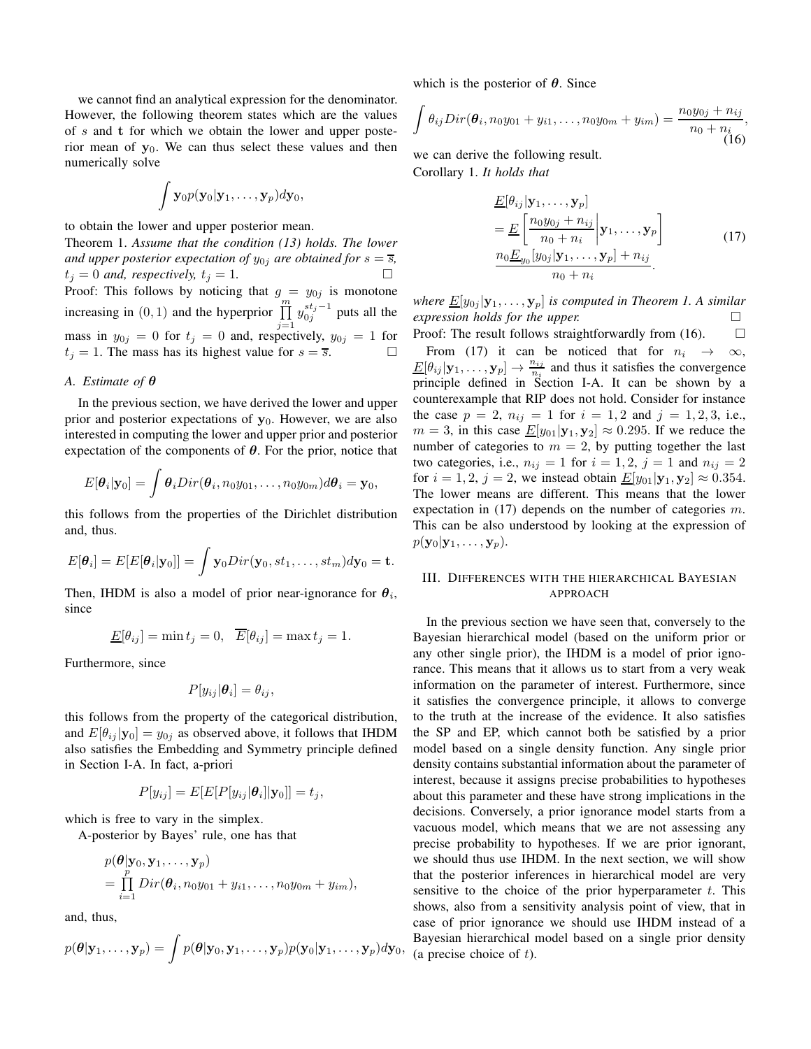we cannot find an analytical expression for the denominator. However, the following theorem states which are the values of  $s$  and  $t$  for which we obtain the lower and upper posterior mean of  $y_0$ . We can thus select these values and then numerically solve

$$
\int {\bf y}_0 p({\bf y}_0|{\bf y}_1,\ldots,{\bf y}_p) d{\bf y}_0,
$$

to obtain the lower and upper posterior mean.

Theorem 1. *Assume that the condition (13) holds. The lower and upper posterior expectation of*  $y_{0i}$  *are obtained for*  $s = \overline{s}$ *,*  $t_j = 0$  *and, respectively,*  $t_j = 1$ . Proof: This follows by noticing that  $g = y_{0j}$  is monotone increasing in  $(0, 1)$  and the hyperprior  $\prod_{m=1}^{m}$  $j=1$  $y_{0j}^{st_j-1}$  puts all the mass in  $y_{0j} = 0$  for  $t_j = 0$  and, respectively,  $y_{0j} = 1$  for  $t_j = 1$ . The mass has its highest value for  $s = \overline{s}$ .

## *A. Estimate of* θ

In the previous section, we have derived the lower and upper prior and posterior expectations of  $y_0$ . However, we are also interested in computing the lower and upper prior and posterior expectation of the components of  $\theta$ . For the prior, notice that

$$
E[\boldsymbol{\theta}_i|\mathbf{y}_0] = \int \boldsymbol{\theta}_i Dir(\boldsymbol{\theta}_i, n_0y_{01}, \ldots, n_0y_{0m}) d\boldsymbol{\theta}_i = \mathbf{y}_0,
$$

this follows from the properties of the Dirichlet distribution and, thus.

$$
E[\boldsymbol{\theta}_i] = E[E[\boldsymbol{\theta}_i|\mathbf{y}_0]] = \int \mathbf{y}_0 Dir(\mathbf{y}_0, st_1, \dots, st_m) d\mathbf{y}_0 = \mathbf{t}.
$$

Then, IHDM is also a model of prior near-ignorance for  $\theta_i$ , since

$$
\underline{E}[\theta_{ij}] = \min t_j = 0, \quad \overline{E}[\theta_{ij}] = \max t_j = 1.
$$

Furthermore, since

$$
P[y_{ij}|\boldsymbol{\theta}_i] = \theta_{ij},
$$

this follows from the property of the categorical distribution, and  $E[\theta_{ij}|\mathbf{y}_0] = y_{0j}$  as observed above, it follows that IHDM also satisfies the Embedding and Symmetry principle defined in Section I-A. In fact, a-priori

$$
P[y_{ij}] = E[E[P[y_{ij}|\boldsymbol{\theta}_i]|\mathbf{y}_0]] = t_j,
$$

which is free to vary in the simplex.

A-posterior by Bayes' rule, one has that

$$
p(\boldsymbol{\theta}|\mathbf{y}_0, \mathbf{y}_1, \dots, \mathbf{y}_p) = \prod_{i=1}^p Dir(\boldsymbol{\theta}_i, n_0y_{01} + y_{i1}, \dots, n_0y_{0m} + y_{im}),
$$

and, thus,

$$
p(\boldsymbol{\theta}|\mathbf{y}_1,\ldots,\mathbf{y}_p)=\int p(\boldsymbol{\theta}|\mathbf{y}_0,\mathbf{y}_1,\ldots,\mathbf{y}_p)p(\mathbf{y}_0|\mathbf{y}_1,\ldots,\mathbf{y}_p)d\mathbf{y}_0,
$$

which is the posterior of  $\theta$ . Since

$$
\int \theta_{ij} Dir(\boldsymbol{\theta}_i, n_0y_{01} + y_{i1}, \dots, n_0y_{0m} + y_{im}) = \frac{n_0y_{0j} + n_{ij}}{n_0 + n_i}
$$
\n(16)

we can derive the following result. Corollary 1. *It holds that*

$$
\underline{E}[\theta_{ij}|\mathbf{y}_1,\ldots,\mathbf{y}_p] \n= \underline{E}\left[\frac{n_0y_{0j}+n_{ij}}{n_0+n_i}\bigg|\mathbf{y}_1,\ldots,\mathbf{y}_p\right] \n\frac{n_0\underline{E}_{y_0}[y_{0j}|\mathbf{y}_1,\ldots,\mathbf{y}_p]+n_{ij}}{n_0+n_i}.
$$
\n(17)

*where*  $\underline{E}[y_{0j}|\mathbf{y}_1,\ldots,\mathbf{y}_p]$  *is computed in Theorem 1. A similar expression holds for the upper.*

Proof: The result follows straightforwardly from  $(16)$ .  $\Box$ From (17) it can be noticed that for  $n_i \rightarrow \infty$ ,  $\underline{E}[\theta_{ij}|\mathbf{y}_1,\ldots,\mathbf{y}_p]\to \frac{n_{ij}}{n_i}$  $\frac{n_{ij}}{n_i}$  and thus it satisfies the convergence principle defined in Section I-A. It can be shown by a counterexample that RIP does not hold. Consider for instance the case  $p = 2$ ,  $n_{ij} = 1$  for  $i = 1, 2$  and  $j = 1, 2, 3$ , i.e.,  $m = 3$ , in this case  $E[y_{01}|\mathbf{y}_1, \mathbf{y}_2] \approx 0.295$ . If we reduce the number of categories to  $m = 2$ , by putting together the last two categories, i.e.,  $n_{ij} = 1$  for  $i = 1, 2, j = 1$  and  $n_{ij} = 2$ for  $i = 1, 2, j = 2$ , we instead obtain  $E[y_{01} | y_1, y_2] \approx 0.354$ . The lower means are different. This means that the lower expectation in (17) depends on the number of categories m. This can be also understood by looking at the expression of  $p(\mathbf{y}_0|\mathbf{y}_1,\ldots,\mathbf{y}_p).$ 

# III. DIFFERENCES WITH THE HIERARCHICAL BAYESIAN APPROACH

In the previous section we have seen that, conversely to the Bayesian hierarchical model (based on the uniform prior or any other single prior), the IHDM is a model of prior ignorance. This means that it allows us to start from a very weak information on the parameter of interest. Furthermore, since it satisfies the convergence principle, it allows to converge to the truth at the increase of the evidence. It also satisfies the SP and EP, which cannot both be satisfied by a prior model based on a single density function. Any single prior density contains substantial information about the parameter of interest, because it assigns precise probabilities to hypotheses about this parameter and these have strong implications in the decisions. Conversely, a prior ignorance model starts from a vacuous model, which means that we are not assessing any precise probability to hypotheses. If we are prior ignorant, we should thus use IHDM. In the next section, we will show that the posterior inferences in hierarchical model are very sensitive to the choice of the prior hyperparameter  $t$ . This shows, also from a sensitivity analysis point of view, that in case of prior ignorance we should use IHDM instead of a Bayesian hierarchical model based on a single prior density (a precise choice of  $t$ ).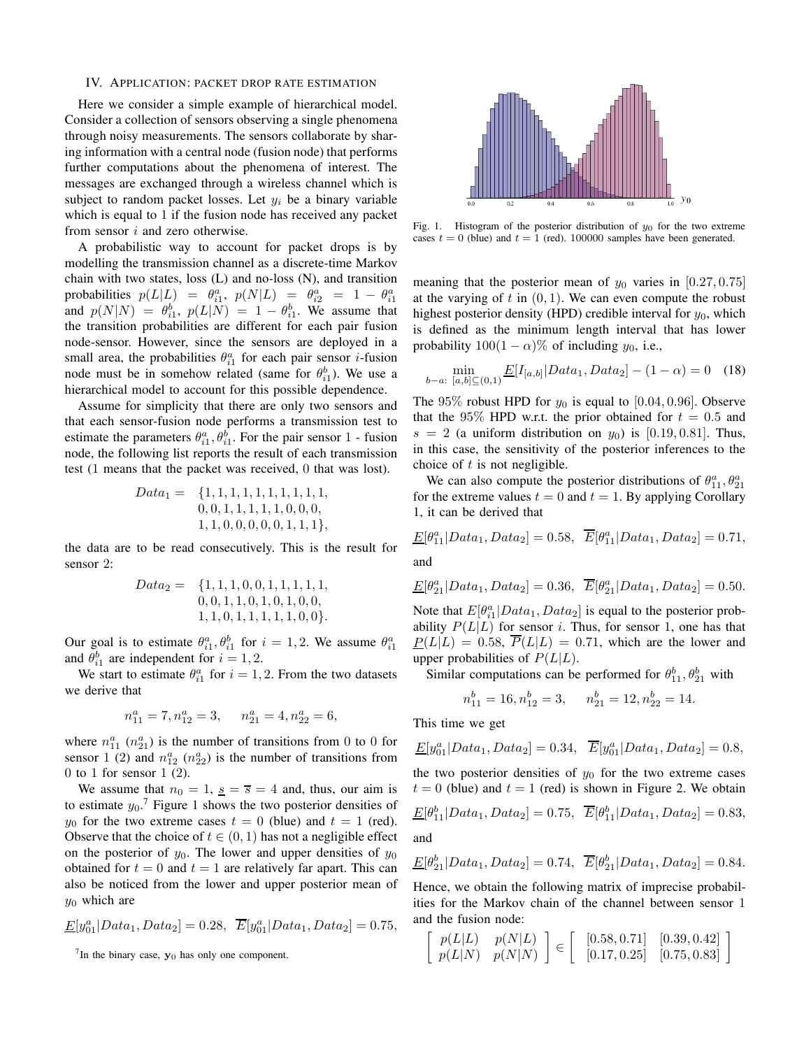## IV. APPLICATION: PACKET DROP RATE ESTIMATION

Here we consider a simple example of hierarchical model. Consider a collection of sensors observing a single phenomena through noisy measurements. The sensors collaborate by sharing information with a central node (fusion node) that performs further computations about the phenomena of interest. The messages are exchanged through a wireless channel which is subject to random packet losses. Let  $y_i$  be a binary variable which is equal to 1 if the fusion node has received any packet from sensor  $i$  and zero otherwise.

A probabilistic way to account for packet drops is by modelling the transmission channel as a discrete-time Markov chain with two states, loss  $(L)$  and no-loss  $(N)$ , and transition probabilities  $p(L|L) = \theta_{i1}^a$ ,  $p(N|L) = \theta_{i2}^a = 1 - \theta_{i1}^a$ and  $p(N|N) = \theta_{i1}^b$ ,  $p(L|N) = 1 - \theta_{i1}^b$ . We assume that the transition probabilities are different for each pair fusion node-sensor. However, since the sensors are deployed in a small area, the probabilities  $\theta_{i1}^a$  for each pair sensor *i*-fusion node must be in somehow related (same for  $\theta_{i1}^{b}$ ). We use a hierarchical model to account for this possible dependence.

Assume for simplicity that there are only two sensors and that each sensor-fusion node performs a transmission test to estimate the parameters  $\theta_{i1}^a$ ,  $\theta_{i1}^b$ . For the pair sensor 1 - fusion node, the following list reports the result of each transmission test (1 means that the packet was received, 0 that was lost).

Data<sup>1</sup> = {1, 1, 1, 1, 1, 1, 1, 1, 1, 1, 0, 0, 1, 1, 1, 1, 1, 0, 0, 0, 1, 1, 0, 0, 0, 0, 0, 1, 1, 1},

the data are to be read consecutively. This is the result for sensor 2:

$$
Data_2 = \{1, 1, 1, 0, 0, 1, 1, 1, 1, 1, 1, 0, 0, 0, 1, 1, 0, 1, 0, 1, 0, 0, 1, 1, 0, 1, 1, 1, 1, 1, 1, 0, 0\}.
$$

Our goal is to estimate  $\theta_{i1}^a$ ,  $\theta_{i1}^b$  for  $i = 1, 2$ . We assume  $\theta_{i1}^a$ and  $\theta_{i1}^{b}$  are independent for  $i = 1, 2$ .

We start to estimate  $\theta_{i1}^a$  for  $i = 1, 2$ . From the two datasets we derive that

$$
n_{11}^a = 7, n_{12}^a = 3, \quad n_{21}^a = 4, n_{22}^a = 6,
$$

where  $n_{11}^a$  ( $n_{21}^a$ ) is the number of transitions from 0 to 0 for sensor 1 (2) and  $n_{12}^a$  ( $n_{22}^a$ ) is the number of transitions from  $0$  to 1 for sensor 1 (2).

We assume that  $n_0 = 1$ ,  $s = \overline{s} = 4$  and, thus, our aim is to estimate  $y_0$ .<sup>7</sup> Figure 1 shows the two posterior densities of  $y_0$  for the two extreme cases  $t = 0$  (blue) and  $t = 1$  (red). Observe that the choice of  $t \in (0, 1)$  has not a negligible effect on the posterior of  $y_0$ . The lower and upper densities of  $y_0$ obtained for  $t = 0$  and  $t = 1$  are relatively far apart. This can also be noticed from the lower and upper posterior mean of  $y_0$  which are

$$
\underline{E}[y_{01}^a | Data_1, Data_2] = 0.28, \ \ \overline{E}[y_{01}^a | Data_1, Data_2] = 0.75,
$$

 $7$ In the binary case,  $y_0$  has only one component.



Fig. 1. Histogram of the posterior distribution of  $y_0$  for the two extreme cases  $t = 0$  (blue) and  $t = 1$  (red). 100000 samples have been generated.

meaning that the posterior mean of  $y_0$  varies in [0.27, 0.75] at the varying of  $t$  in  $(0, 1)$ . We can even compute the robust highest posterior density (HPD) credible interval for  $y_0$ , which is defined as the minimum length interval that has lower probability  $100(1 - \alpha)\%$  of including  $y_0$ , i.e.,

$$
\min_{b-a: \ [a,b]\subseteq(0,1)} \underline{E}[I_{[a,b]}|Data_1, Data_2] - (1-\alpha) = 0 \quad (18)
$$

The 95% robust HPD for  $y_0$  is equal to [0.04, 0.96]. Observe that the 95% HPD w.r.t. the prior obtained for  $t = 0.5$  and  $s = 2$  (a uniform distribution on  $y_0$ ) is [0.19, 0.81]. Thus, in this case, the sensitivity of the posterior inferences to the choice of  $t$  is not negligible.

We can also compute the posterior distributions of  $\theta_{11}^a$ ,  $\theta_{21}^a$ for the extreme values  $t = 0$  and  $t = 1$ . By applying Corollary 1, it can be derived that

$$
\underline{E}[\theta_{11}^a|Data_1, Data_2] = 0.58, \quad \overline{E}[\theta_{11}^a|Data_1, Data_2] = 0.71,
$$

and

$$
\underline{E}[\theta_{21}^{a}|Data_1, Data_2] = 0.36, \ \ \overline{E}[\theta_{21}^{a}|Data_1, Data_2] = 0.50.
$$

Note that  $E[\theta_{i1}^{a}| Data_1, Data_2]$  is equal to the posterior probability  $P(L|L)$  for sensor i. Thus, for sensor 1, one has that  $P(L|L) = 0.58$ ,  $\overline{P}(L|L) = 0.71$ , which are the lower and upper probabilities of  $P(L|L)$ .

Similar computations can be performed for  $\theta_{11}^b$ ,  $\theta_{21}^b$  with

$$
n_{11}^b = 16, n_{12}^b = 3, \quad n_{21}^b = 12, n_{22}^b = 14.
$$

This time we get

$$
\underline{E}[y_{01}^a | Data_1, Data_2] = 0.34, \quad \overline{E}[y_{01}^a | Data_1, Data_2] = 0.8,
$$

the two posterior densities of  $y_0$  for the two extreme cases  $t = 0$  (blue) and  $t = 1$  (red) is shown in Figure 2. We obtain

$$
\underline{E}[\theta_{11}^{b}|Data_1, Data_2] = 0.75, \ \ \overline{E}[\theta_{11}^{b}|Data_1, Data_2] = 0.83,
$$

and

$$
\underline{E}[\theta_{21}^b|Data_1, Data_2] = 0.74, \quad \overline{E}[\theta_{21}^b|Data_1, Data_2] = 0.84.
$$

Hence, we obtain the following matrix of imprecise probabilities for the Markov chain of the channel between sensor 1 and the fusion node:

$$
\begin{bmatrix} p(L|L) & p(N|L) \\ p(L|N) & p(N|N) \end{bmatrix} \in \begin{bmatrix} [0.58, 0.71] & [0.39, 0.42] \\ [0.17, 0.25] & [0.75, 0.83] \end{bmatrix}
$$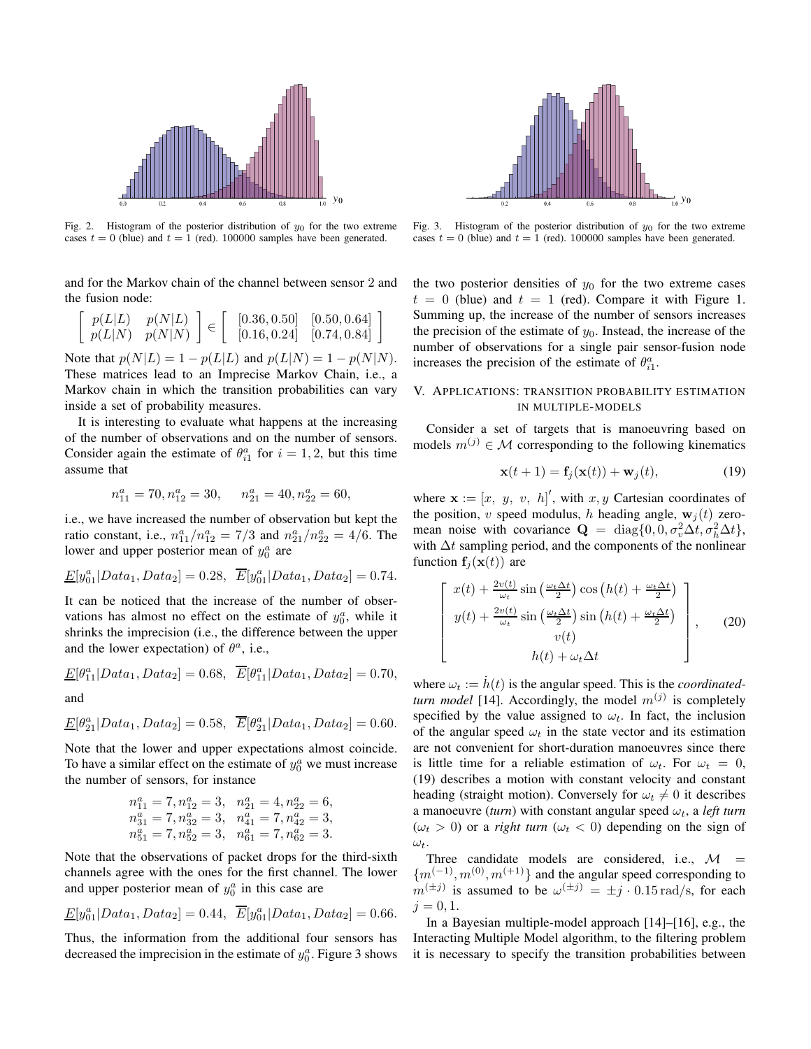

Fig. 2. Histogram of the posterior distribution of  $y_0$  for the two extreme cases  $t = 0$  (blue) and  $t = 1$  (red). 100000 samples have been generated.

and for the Markov chain of the channel between sensor 2 and the fusion node:

$$
\begin{bmatrix} p(L|L) & p(N|L) \\ p(L|N) & p(N|N) \end{bmatrix} \in \begin{bmatrix} [0.36, 0.50] & [0.50, 0.64] \\ [0.16, 0.24] & [0.74, 0.84] \end{bmatrix}
$$

Note that  $p(N|L) = 1 - p(L|L)$  and  $p(L|N) = 1 - p(N|N)$ . These matrices lead to an Imprecise Markov Chain, i.e., a Markov chain in which the transition probabilities can vary inside a set of probability measures.

It is interesting to evaluate what happens at the increasing of the number of observations and on the number of sensors. Consider again the estimate of  $\theta_{i1}^a$  for  $i = 1, 2$ , but this time assume that

$$
n_{11}^a = 70, n_{12}^a = 30, \quad n_{21}^a = 40, n_{22}^a = 60,
$$

i.e., we have increased the number of observation but kept the ratio constant, i.e.,  $n_{11}^a/n_{12}^a = 7/3$  and  $n_{21}^a/n_{22}^a = 4/6$ . The lower and upper posterior mean of  $y_0^a$  are

$$
\underline{E}[y_{01}^a | Data_1, Data_2] = 0.28, \ \overline{E}[y_{01}^a | Data_1, Data_2] = 0.74.
$$

It can be noticed that the increase of the number of observations has almost no effect on the estimate of  $y_0^a$ , while it shrinks the imprecision (i.e., the difference between the upper and the lower expectation) of  $\theta^a$ , i.e.,

$$
\underline{E}[\theta_{11}^a|Data_1, Data_2] = 0.68, \quad \overline{E}[\theta_{11}^a|Data_1, Data_2] = 0.70,
$$

and

$$
\underline{E}[\theta_{21}^{a}|Data_{1}, Data_{2}] = 0.58, \ \ \overline{E}[\theta_{21}^{a}|Data_{1}, Data_{2}] = 0.60.
$$

Note that the lower and upper expectations almost coincide. To have a similar effect on the estimate of  $y_0^a$  we must increase the number of sensors, for instance

$$
n_{11}^{a} = 7, n_{12}^{a} = 3, n_{21}^{a} = 4, n_{22}^{a} = 6,
$$
  
\n
$$
n_{31}^{a} = 7, n_{32}^{a} = 3, n_{41}^{a} = 7, n_{42}^{a} = 3,
$$
  
\n
$$
n_{51}^{a} = 7, n_{52}^{a} = 3, n_{61}^{a} = 7, n_{62}^{a} = 3.
$$

Note that the observations of packet drops for the third-sixth channels agree with the ones for the first channel. The lower and upper posterior mean of  $y_0^a$  in this case are

$$
\underline{E}[y_{01}^a | Data_1, Data_2] = 0.44, \ \ \overline{E}[y_{01}^a | Data_1, Data_2] = 0.66.
$$

Thus, the information from the additional four sensors has decreased the imprecision in the estimate of  $y_0^a$ . Figure 3 shows



Fig. 3. Histogram of the posterior distribution of  $y_0$  for the two extreme cases  $t = 0$  (blue) and  $t = 1$  (red). 100000 samples have been generated.

the two posterior densities of  $y_0$  for the two extreme cases  $t = 0$  (blue) and  $t = 1$  (red). Compare it with Figure 1. Summing up, the increase of the number of sensors increases the precision of the estimate of  $y_0$ . Instead, the increase of the number of observations for a single pair sensor-fusion node increases the precision of the estimate of  $\theta_{i1}^a$ .

# V. APPLICATIONS: TRANSITION PROBABILITY ESTIMATION IN MULTIPLE-MODELS

Consider a set of targets that is manoeuvring based on models  $m^{(j)} \in \mathcal{M}$  corresponding to the following kinematics

$$
\mathbf{x}(t+1) = \mathbf{f}_j(\mathbf{x}(t)) + \mathbf{w}_j(t),
$$
\n(19)

where  $\mathbf{x} := [x, y, v, h]'$ , with  $x, y$  Cartesian coordinates of the position, v speed modulus, h heading angle,  $w_j(t)$  zeromean noise with covariance  $\mathbf{Q} = \text{diag}\{0, 0, \sigma_v^2 \Delta t, \sigma_h^2 \Delta t\},$ with  $\Delta t$  sampling period, and the components of the nonlinear function  $f_i(\mathbf{x}(t))$  are

$$
\begin{bmatrix}\nx(t) + \frac{2v(t)}{\omega_t} \sin\left(\frac{\omega_t \Delta t}{2}\right) \cos\left(h(t) + \frac{\omega_t \Delta t}{2}\right) \\
y(t) + \frac{2v(t)}{\omega_t} \sin\left(\frac{\omega_t \Delta t}{2}\right) \sin\left(h(t) + \frac{\omega_t \Delta t}{2}\right) \\
v(t) \\
h(t) + \omega_t \Delta t\n\end{bmatrix},
$$
\n(20)

where  $\omega_t := \dot{h}(t)$  is the angular speed. This is the *coordinatedturn model* [14]. Accordingly, the model  $m^{(j)}$  is completely specified by the value assigned to  $\omega_t$ . In fact, the inclusion of the angular speed  $\omega_t$  in the state vector and its estimation are not convenient for short-duration manoeuvres since there is little time for a reliable estimation of  $\omega_t$ . For  $\omega_t = 0$ , (19) describes a motion with constant velocity and constant heading (straight motion). Conversely for  $\omega_t \neq 0$  it describes a manoeuvre (*turn*) with constant angular speed  $\omega_t$ , a *left turn*  $(\omega_t > 0)$  or a *right turn*  $(\omega_t < 0)$  depending on the sign of  $\omega_t$ .

Three candidate models are considered, i.e.,  $M =$  ${m^{(-1)}, m^{(0)}, m^{(+1)}}$  and the angular speed corresponding to  $m^{(\pm j)}$  is assumed to be  $\omega^{(\pm j)} = \pm j \cdot 0.15 \text{ rad/s}$ , for each  $i = 0, 1.$ 

In a Bayesian multiple-model approach [14]–[16], e.g., the Interacting Multiple Model algorithm, to the filtering problem it is necessary to specify the transition probabilities between